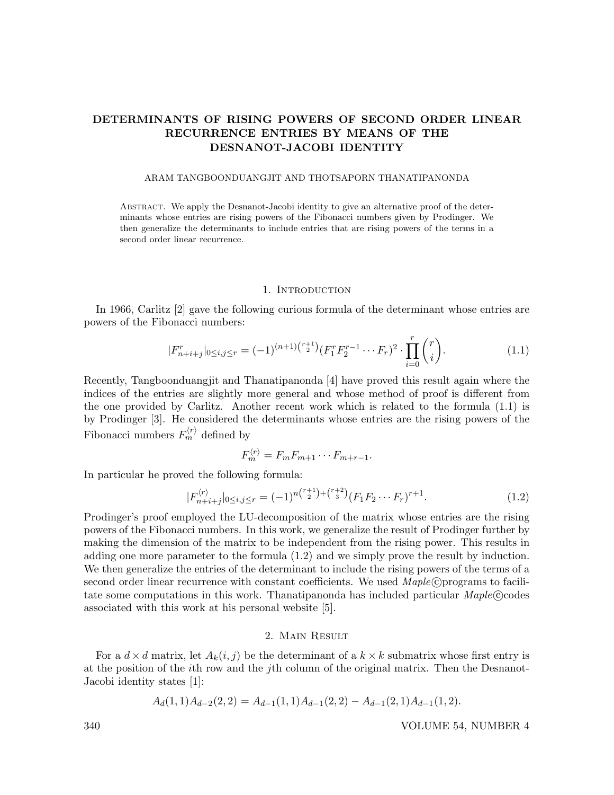# DETERMINANTS OF RISING POWERS OF SECOND ORDER LINEAR RECURRENCE ENTRIES BY MEANS OF THE DESNANOT-JACOBI IDENTITY

#### ARAM TANGBOONDUANGJIT AND THOTSAPORN THANATIPANONDA

Abstract. We apply the Desnanot-Jacobi identity to give an alternative proof of the determinants whose entries are rising powers of the Fibonacci numbers given by Prodinger. We then generalize the determinants to include entries that are rising powers of the terms in a second order linear recurrence.

### 1. INTRODUCTION

In 1966, Carlitz [2] gave the following curious formula of the determinant whose entries are powers of the Fibonacci numbers:

$$
|F_{n+i+j}^r|_{0 \le i,j \le r} = (-1)^{(n+1)\binom{r+1}{2}} (F_1^r F_2^{r-1} \cdots F_r)^2 \cdot \prod_{i=0}^r \binom{r}{i}.
$$
 (1.1)

Recently, Tangboonduangjit and Thanatipanonda [4] have proved this result again where the indices of the entries are slightly more general and whose method of proof is different from the one provided by Carlitz. Another recent work which is related to the formula (1.1) is by Prodinger [3]. He considered the determinants whose entries are the rising powers of the Fibonacci numbers  $F_m^{\langle r \rangle}$  defined by

$$
F_m^{\langle r \rangle} = F_m F_{m+1} \cdots F_{m+r-1}.
$$

In particular he proved the following formula:

$$
|F_{n+i+j}^{\langle r \rangle}|_{0 \le i,j \le r} = (-1)^{n\binom{r+1}{2} + \binom{r+2}{3}} (F_1 F_2 \cdots F_r)^{r+1}.
$$
 (1.2)

Prodinger's proof employed the LU-decomposition of the matrix whose entries are the rising powers of the Fibonacci numbers. In this work, we generalize the result of Prodinger further by making the dimension of the matrix to be independent from the rising power. This results in adding one more parameter to the formula (1.2) and we simply prove the result by induction. We then generalize the entries of the determinant to include the rising powers of the terms of a second order linear recurrence with constant coefficients. We used  $\text{Maple}(\mathcal{C})$  programs to facilitate some computations in this work. Thanatipanonda has included particular  $\text{Maple}(\mathcal{C})$ codes associated with this work at his personal website [5].

#### 2. Main Result

For a  $d \times d$  matrix, let  $A_k(i, j)$  be the determinant of a  $k \times k$  submatrix whose first entry is at the position of the ith row and the jth column of the original matrix. Then the Desnanot-Jacobi identity states [1]:

$$
A_d(1,1)A_{d-2}(2,2) = A_{d-1}(1,1)A_{d-1}(2,2) - A_{d-1}(2,1)A_{d-1}(1,2).
$$

340 VOLUME 54, NUMBER 4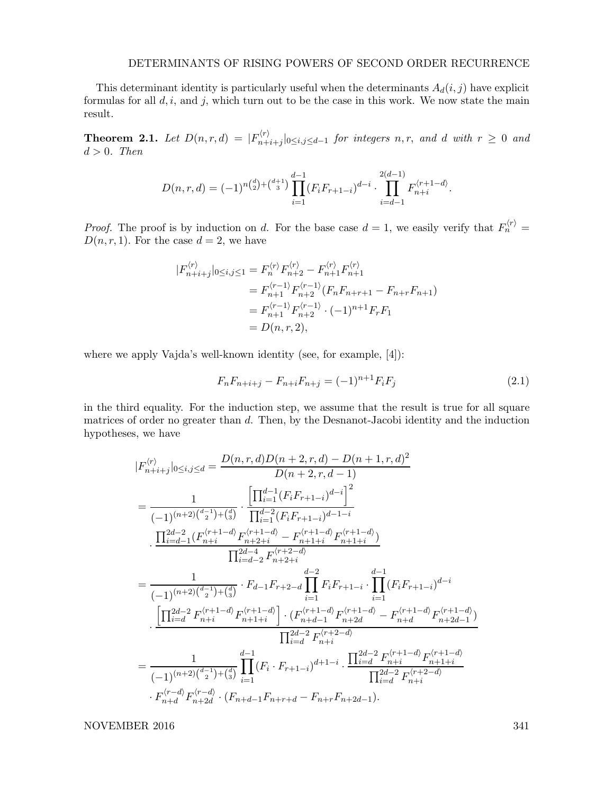### DETERMINANTS OF RISING POWERS OF SECOND ORDER RECURRENCE

This determinant identity is particularly useful when the determinants  $A_d(i, j)$  have explicit formulas for all  $d, i$ , and  $j$ , which turn out to be the case in this work. We now state the main result.

**Theorem 2.1.** Let  $D(n, r, d) = |F_{n+1}^{(r)}|$  $\sum_{n+i+j}^{N} |0 \le i,j \le d-1$  for integers  $n,r$ , and d with  $r \ge 0$  and  $d > 0$ . Then

$$
D(n,r,d) = (-1)^{n{d \choose 2} + {d+1 \choose 3}} \prod_{i=1}^{d-1} (F_i F_{r+1-i})^{d-i} \cdot \prod_{i=d-1}^{2(d-1)} F_{n+i}^{\langle r+1-d \rangle}.
$$

*Proof.* The proof is by induction on d. For the base case  $d = 1$ , we easily verify that  $F_n^{(r)}$  $D(n, r, 1)$ . For the case  $d = 2$ , we have

$$
|F_{n+i+j}^{\langle r \rangle}|_{0 \le i,j \le 1} = F_n^{\langle r \rangle} F_{n+2}^{\langle r \rangle} - F_{n+1}^{\langle r \rangle} F_{n+1}^{\langle r \rangle}
$$
  
=  $F_{n+1}^{\langle r-1 \rangle} F_{n+2}^{\langle r-1 \rangle} (F_n F_{n+r+1} - F_{n+r} F_{n+1})$   
=  $F_{n+1}^{\langle r-1 \rangle} F_{n+2}^{\langle r-1 \rangle} \cdot (-1)^{n+1} F_r F_1$   
=  $D(n,r,2),$ 

where we apply Vajda's well-known identity (see, for example, [4]):

$$
F_n F_{n+i+j} - F_{n+i} F_{n+j} = (-1)^{n+1} F_i F_j \tag{2.1}
$$

in the third equality. For the induction step, we assume that the result is true for all square matrices of order no greater than d. Then, by the Desnanot-Jacobi identity and the induction hypotheses, we have

$$
\begin{split} &|F_{n+i+j}^{\langle r\rangle}|_{0\le i,j\le d}=\frac{D(n,r,d)D(n+2,r,d)-D(n+1,r,d)^2}{D(n+2,r,d-1)}\\ &=\frac{1}{(-1)^{(n+2)\binom{d-1}{2}+\binom{d}{3}}}\cdot\frac{\left[\prod_{i=1}^{d-1}(F_iF_{r+1-i})^{d-i}\right]^2}{\prod_{i=1}^{d-2}(F_iF_{r+1-i})^{d-1-i}}\\ &\cdot\frac{\prod_{i=d-1}^{2d-2}(F_{n+i}^{\langle r+1-d\rangle}F_{n+2+i}^{\langle r+1-d\rangle}-F_{n+1+i}^{\langle r+1-d\rangle}F_{n+1+i}^{\langle r+1-d\rangle})}{\prod_{i=d-2}^{2d-4}F_{n+2+i}^{\langle r+2-d\rangle}}\\ &=\frac{1}{(-1)^{(n+2)\binom{d-1}{2}+\binom{d}{3}}}\cdot F_{d-1}F_{r+2-d}\prod_{i=1}^{d-2}F_iF_{r+1-i}\cdot\prod_{i=1}^{d-1}(F_iF_{r+1-i})^{d-i}\\ &\cdot\frac{\left[\prod_{i=d}^{2d-2}F_{n+i}^{\langle r+1-d\rangle}F_{n+1+i}^{\langle r+1-d\rangle}\right]\cdot\left(F_{n+d-1}^{\langle r+1-d\rangle}F_{n+2d}^{\langle r+1-d\rangle}-F_{n+d}^{\langle r+1-d\rangle}F_{n+2d-1}^{\langle r+1-d\rangle}\right)}{\prod_{i=d}^{2d-2}F_{n+i}^{\langle r+2-d\rangle}}\\ &=\frac{1}{(-1)^{(n+2)\binom{d-1}{2}+\binom{d}{3}}\prod_{i=1}^{d-1}(F_i\cdot F_{r+1-i})^{d+1-i}\cdot\frac{\prod_{i=d}^{2d-2}F_{n+i}^{\langle r+1-d\rangle}F_{n+1+i}^{\langle r+1-d\rangle}}{\prod_{i=d}^{2d-2}F_{n+i}^{\langle r+2-d\rangle}}\\ &\cdot F_{n+d}^{\langle r-d\rangle}F_{n+2d}^{\langle r-d\rangle}\cdot\left(F_{n+d-1}F_{n+r+d}-F_{n+r}F_{n+2d-1}\right). \end{split}
$$

NOVEMBER 2016 341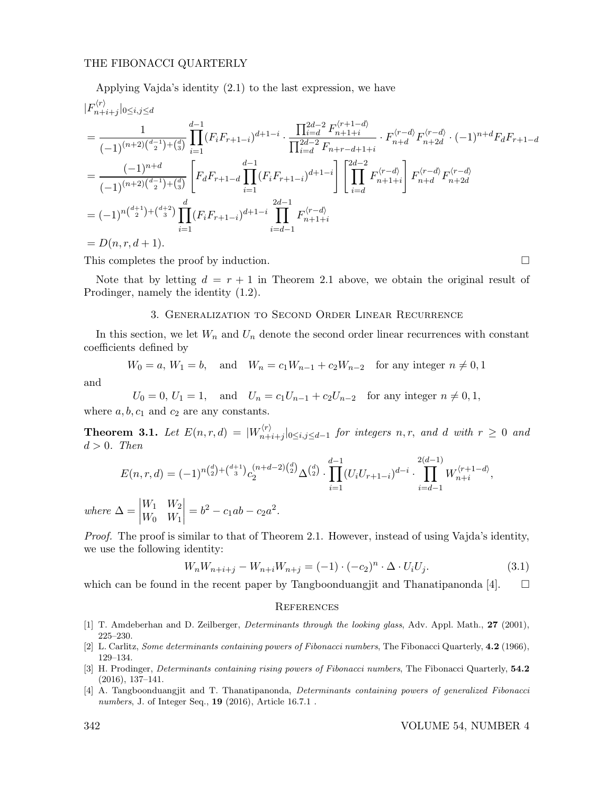### THE FIBONACCI QUARTERLY

Applying Vajda's identity (2.1) to the last expression, we have  
\n
$$
|F_{n+i+j}^{(r)}|_{0 \le i,j \le d}
$$
\n
$$
= \frac{1}{(-1)^{(n+2)\binom{d-1}{2} + \binom{d}{3}}} \prod_{i=1}^{d-1} (F_i F_{r+1-i})^{d+1-i} \cdot \frac{\prod_{i=d}^{2d-2} F_{n+1+i}^{(r+1-d)}}{\prod_{i=d}^{2d-2} F_{n+r-d+1+i}} \cdot F_{n+d}^{(r-d)} F_{n+2d}^{(r-d)} \cdot (-1)^{n+d} F_d F_{r+1-d}
$$
\n
$$
= \frac{(-1)^{n+d}}{(-1)^{(n+2)\binom{d-1}{2} + \binom{d}{3}}} \left[ F_d F_{r+1-d} \prod_{i=1}^{d-1} (F_i F_{r+1-i})^{d+1-i} \right] \left[ \prod_{i=d}^{2d-2} F_{n+1+i}^{(r-d)} \right] F_{n+d}^{(r-d)} F_{n+2d}^{(r-d)}
$$
\n
$$
= (-1)^{n\binom{d+1}{2} + \binom{d+2}{3}} \prod_{i=1}^{d} (F_i F_{r+1-i})^{d+1-i} \prod_{i=d-1}^{2d-1} F_{n+1+i}^{(r-d)}
$$
\n
$$
= D(n, r, d+1).
$$

This completes the proof by induction.

Note that by letting  $d = r + 1$  in Theorem 2.1 above, we obtain the original result of Prodinger, namely the identity (1.2).

## 3. Generalization to Second Order Linear Recurrence

In this section, we let  $W_n$  and  $U_n$  denote the second order linear recurrences with constant coefficients defined by

$$
W_0 = a, W_1 = b,
$$
 and  $W_n = c_1 W_{n-1} + c_2 W_{n-2}$  for any integer  $n \neq 0, 1$ 

and

 $U_0 = 0, U_1 = 1, \text{ and } U_n = c_1U_{n-1} + c_2U_{n-2} \text{ for any integer } n \neq 0, 1,$ where  $a, b, c_1$  and  $c_2$  are any constants.

**Theorem 3.1.** Let  $E(n,r,d) = |W_{n+1}^{(r)}|$  $\sum_{n+i+j}^{(r)}|_{0\leq i,j\leq d-1}$  for integers  $n,r$ , and d with  $r\geq 0$  and  $d > 0$ . Then

$$
E(n, r, d) = (-1)^{n {d \choose 2} + {d+1 \choose 3}} c_2^{(n+d-2) {d \choose 2}} \Delta^{{d \choose 2}} \cdot \prod_{i=1}^{d-1} (U_i U_{r+1-i})^{d-i} \cdot \prod_{i=d-1}^{2(d-1)} W_{n+i}^{(r+1-d)},
$$
  

$$
\Delta = \begin{vmatrix} W_1 & W_2 \\ W_0 & W_1 \end{vmatrix} = b^2 - c_1 ab - c_2 a^2.
$$

 $where$  $\begin{array}{c} \hline \end{array}$ 

Proof. The proof is similar to that of Theorem 2.1. However, instead of using Vajda's identity, we use the following identity:

$$
W_n W_{n+i+j} - W_{n+i} W_{n+j} = (-1) \cdot (-c_2)^n \cdot \Delta \cdot U_i U_j.
$$
 (3.1)

which can be found in the recent paper by Tangboonduangjit and Thanatipanonda [4].  $\square$ 

#### **REFERENCES**

- [1] T. Amdeberhan and D. Zeilberger, Determinants through the looking glass, Adv. Appl. Math., 27 (2001), 225–230.
- [2] L. Carlitz, Some determinants containing powers of Fibonacci numbers, The Fibonacci Quarterly, 4.2 (1966), 129–134.
- [3] H. Prodinger, *Determinants containing rising powers of Fibonacci numbers*, The Fibonacci Quarterly, 54.2 (2016), 137–141.
- [4] A. Tangboonduangjit and T. Thanatipanonda, Determinants containing powers of generalized Fibonacci numbers, J. of Integer Seq., **19** (2016), Article 16.7.1.